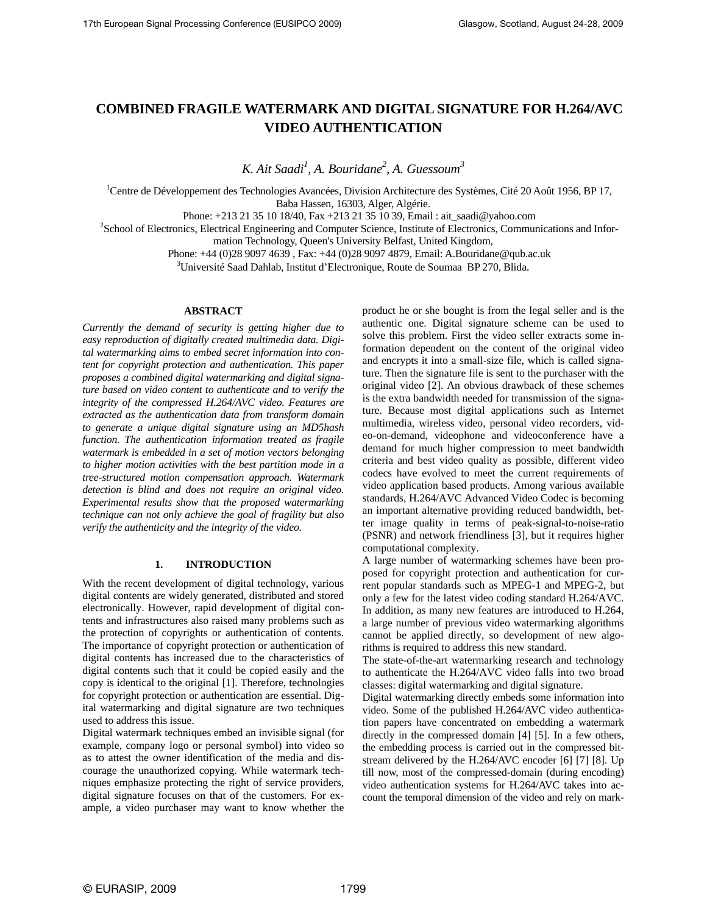# **COMBINED FRAGILE WATERMARK AND DIGITAL SIGNATURE FOR H.264/AVC VIDEO AUTHENTICATION**

*K. Ait Saadi1 , A. Bouridane2 , A. Guessoum3*

<sup>1</sup>Centre de Développement des Technologies Avancées, Division Architecture des Systèmes, Cité 20 Août 1956, BP 17, Baba Hassen, 16303, Alger, Algérie.

Phone: +213 21 35 10 18/40, Fax +213 21 35 10 39, Email : ait\_saadi@yahoo.com 2

School of Electronics, Electrical Engineering and Computer Science, Institute of Electronics, Communications and Infor-

mation Technology, Queen's University Belfast, United Kingdom,

Phone: +44 (0)28 9097 4639 , Fax: +44 (0)28 9097 4879, Email: A.Bouridane@qub.ac.uk 3

<sup>3</sup>Université Saad Dahlab, Institut d'Electronique, Route de Soumaa BP 270, Blida.

#### **ABSTRACT**

*Currently the demand of security is getting higher due to easy reproduction of digitally created multimedia data. Digital watermarking aims to embed secret information into content for copyright protection and authentication. This paper proposes a combined digital watermarking and digital signature based on video content to authenticate and to verify the integrity of the compressed H.264/AVC video. Features are extracted as the authentication data from transform domain to generate a unique digital signature using an MD5hash function. The authentication information treated as fragile watermark is embedded in a set of motion vectors belonging to higher motion activities with the best partition mode in a tree-structured motion compensation approach. Watermark detection is blind and does not require an original video. Experimental results show that the proposed watermarking technique can not only achieve the goal of fragility but also verify the authenticity and the integrity of the video.*

## **1. INTRODUCTION**

With the recent development of digital technology, various digital contents are widely generated, distributed and stored electronically. However, rapid development of digital contents and infrastructures also raised many problems such as the protection of copyrights or authentication of contents. The importance of copyright protection or authentication of digital contents has increased due to the characteristics of digital contents such that it could be copied easily and the copy is identical to the original [1]. Therefore, technologies for copyright protection or authentication are essential. Digital watermarking and digital signature are two techniques used to address this issue.

Digital watermark techniques embed an invisible signal (for example, company logo or personal symbol) into video so as to attest the owner identification of the media and discourage the unauthorized copying. While watermark techniques emphasize protecting the right of service providers, digital signature focuses on that of the customers. For example, a video purchaser may want to know whether the

product he or she bought is from the legal seller and is the authentic one. Digital signature scheme can be used to solve this problem. First the video seller extracts some information dependent on the content of the original video and encrypts it into a small-size file, which is called signature. Then the signature file is sent to the purchaser with the original video [2]. An obvious drawback of these schemes is the extra bandwidth needed for transmission of the signature. Because most digital applications such as Internet multimedia, wireless video, personal video recorders, video-on-demand, videophone and videoconference have a demand for much higher compression to meet bandwidth criteria and best video quality as possible, different video codecs have evolved to meet the current requirements of video application based products. Among various available standards, H.264/AVC Advanced Video Codec is becoming an important alternative providing reduced bandwidth, better image quality in terms of peak-signal-to-noise-ratio (PSNR) and network friendliness [3], but it requires higher computational complexity.

A large number of watermarking schemes have been proposed for copyright protection and authentication for current popular standards such as MPEG-1 and MPEG-2, but only a few for the latest video coding standard H.264/AVC. In addition, as many new features are introduced to H.264, a large number of previous video watermarking algorithms cannot be applied directly, so development of new algorithms is required to address this new standard.

The state-of-the-art watermarking research and technology to authenticate the H.264/AVC video falls into two broad classes: digital watermarking and digital signature.

Digital watermarking directly embeds some information into video. Some of the published H.264/AVC video authentication papers have concentrated on embedding a watermark directly in the compressed domain [4] [5]. In a few others, the embedding process is carried out in the compressed bitstream delivered by the H.264/AVC encoder [6] [7] [8]. Up till now, most of the compressed-domain (during encoding) video authentication systems for H.264/AVC takes into account the temporal dimension of the video and rely on mark-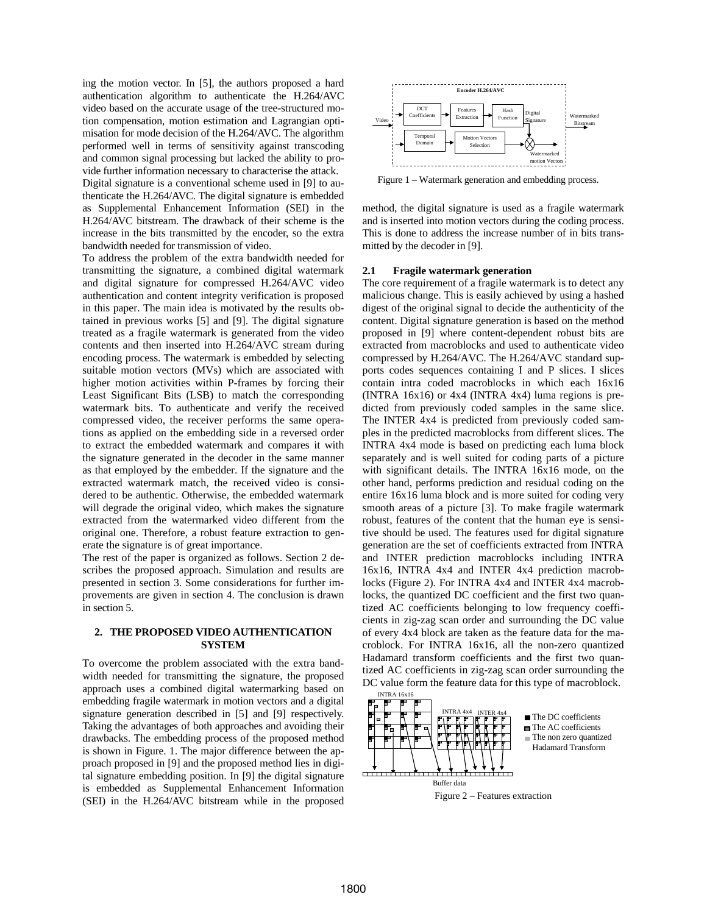ing the motion vector. In [5], the authors proposed a hard authentication algorithm to authenticate the H.264/AVC video based on the accurate usage of the tree-structured motion compensation, motion estimation and Lagrangian optimisation for mode decision of the H.264/AVC. The algorithm performed well in terms of sensitivity against transcoding and common signal processing but lacked the ability to provide further information necessary to characterise the attack.

Digital signature is a conventional scheme used in [9] to authenticate the H.264/AVC. The digital signature is embedded as Supplemental Enhancement Information (SEI) in the H.264/AVC bitstream. The drawback of their scheme is the increase in the bits transmitted by the encoder, so the extra bandwidth needed for transmission of video.

To address the problem of the extra bandwidth needed for transmitting the signature, a combined digital watermark and digital signature for compressed H.264/AVC video authentication and content integrity verification is proposed in this paper. The main idea is motivated by the results obtained in previous works [5] and [9]. The digital signature treated as a fragile watermark is generated from the video contents and then inserted into H.264/AVC stream during encoding process. The watermark is embedded by selecting suitable motion vectors (MVs) which are associated with higher motion activities within P-frames by forcing their Least Significant Bits (LSB) to match the corresponding watermark bits. To authenticate and verify the received compressed video, the receiver performs the same operations as applied on the embedding side in a reversed order to extract the embedded watermark and compares it with the signature generated in the decoder in the same manner as that employed by the embedder. If the signature and the extracted watermark match, the received video is considered to be authentic. Otherwise, the embedded watermark will degrade the original video, which makes the signature extracted from the watermarked video different from the original one. Therefore, a robust feature extraction to generate the signature is of great importance.

The rest of the paper is organized as follows. Section 2 describes the proposed approach. Simulation and results are presented in section 3. Some considerations for further improvements are given in section 4. The conclusion is drawn in section 5.

#### **2. THE PROPOSED VIDEO AUTHENTICATION SYSTEM**

To overcome the problem associated with the extra bandwidth needed for transmitting the signature, the proposed approach uses a combined digital watermarking based on embedding fragile watermark in motion vectors and a digital signature generation described in [5] and [9] respectively. Taking the advantages of both approaches and avoiding their drawbacks. The embedding process of the proposed method is shown in Figure. 1. The major difference between the approach proposed in [9] and the proposed method lies in digital signature embedding position. In [9] the digital signature is embedded as Supplemental Enhancement Information (SEI) in the H.264/AVC bitstream while in the proposed



Figure 1 – Watermark generation and embedding process.

method, the digital signature is used as a fragile watermark and is inserted into motion vectors during the coding process. This is done to address the increase number of in bits transmitted by the decoder in [9].

#### **2.1 Fragile watermark generation**

The core requirement of a fragile watermark is to detect any malicious change. This is easily achieved by using a hashed digest of the original signal to decide the authenticity of the content. Digital signature generation is based on the method proposed in [9] where content-dependent robust bits are extracted from macroblocks and used to authenticate video compressed by H.264/AVC. The H.264/AVC standard supports codes sequences containing I and P slices. I slices contain intra coded macroblocks in which each 16x16 (INTRA 16x16) or 4x4 (INTRA 4x4) luma regions is predicted from previously coded samples in the same slice. The INTER 4x4 is predicted from previously coded samples in the predicted macroblocks from different slices. The INTRA 4x4 mode is based on predicting each luma block separately and is well suited for coding parts of a picture with significant details. The INTRA 16x16 mode, on the other hand, performs prediction and residual coding on the entire 16x16 luma block and is more suited for coding very smooth areas of a picture [3]. To make fragile watermark robust, features of the content that the human eye is sensitive should be used. The features used for digital signature generation are the set of coefficients extracted from INTRA and INTER prediction macroblocks including INTRA 16x16, INTRA 4x4 and INTER 4x4 prediction macroblocks (Figure 2). For INTRA 4x4 and INTER 4x4 macroblocks, the quantized DC coefficient and the first two quantized AC coefficients belonging to low frequency coefficients in zig-zag scan order and surrounding the DC value of every 4x4 block are taken as the feature data for the macroblock. For INTRA 16x16, all the non-zero quantized Hadamard transform coefficients and the first two quantized AC coefficients in zig-zag scan order surrounding the DC value form the feature data for this type of macroblock.<br>
INTRA 16x16

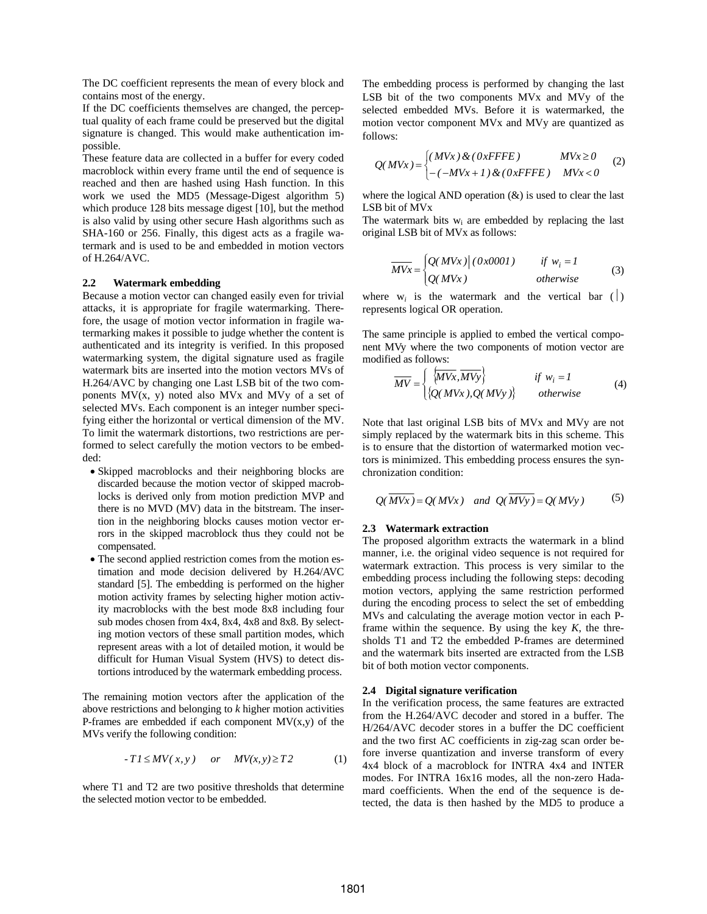The DC coefficient represents the mean of every block and contains most of the energy.

If the DC coefficients themselves are changed, the perceptual quality of each frame could be preserved but the digital signature is changed. This would make authentication impossible.

These feature data are collected in a buffer for every coded macroblock within every frame until the end of sequence is reached and then are hashed using Hash function. In this work we used the MD5 (Message-Digest algorithm 5) which produce 128 bits message digest [10], but the method is also valid by using other secure Hash algorithms such as SHA-160 or 256. Finally, this digest acts as a fragile watermark and is used to be and embedded in motion vectors of H.264/AVC.

#### **2.2 Watermark embedding**

Because a motion vector can changed easily even for trivial attacks, it is appropriate for fragile watermarking. Therefore, the usage of motion vector information in fragile watermarking makes it possible to judge whether the content is authenticated and its integrity is verified. In this proposed watermarking system, the digital signature used as fragile watermark bits are inserted into the motion vectors MVs of H.264/AVC by changing one Last LSB bit of the two components  $MV(x, y)$  noted also MVx and MVy of a set of selected MVs. Each component is an integer number specifying either the horizontal or vertical dimension of the MV. To limit the watermark distortions, two restrictions are performed to select carefully the motion vectors to be embedded:

- Skipped macroblocks and their neighboring blocks are discarded because the motion vector of skipped macroblocks is derived only from motion prediction MVP and there is no MVD (MV) data in the bitstream. The insertion in the neighboring blocks causes motion vector errors in the skipped macroblock thus they could not be compensated.
- The second applied restriction comes from the motion estimation and mode decision delivered by H.264/AVC standard [5]. The embedding is performed on the higher motion activity frames by selecting higher motion activity macroblocks with the best mode 8x8 including four sub modes chosen from 4x4, 8x4, 4x8 and 8x8. By selecting motion vectors of these small partition modes, which represent areas with a lot of detailed motion, it would be difficult for Human Visual System (HVS) to detect distortions introduced by the watermark embedding process.

The remaining motion vectors after the application of the above restrictions and belonging to *k* higher motion activities P-frames are embedded if each component  $MV(x, y)$  of the MVs verify the following condition:

$$
-T1 \le MV(x, y) \quad or \quad MV(x, y) \ge T2 \tag{1}
$$

where T1 and T2 are two positive thresholds that determine the selected motion vector to be embedded.

The embedding process is performed by changing the last LSB bit of the two components MVx and MVy of the selected embedded MVs. Before it is watermarked, the motion vector component MVx and MVy are quantized as follows:

$$
Q(MVx) = \begin{cases} (MVx) & (0xFFFE) \\ (1 - (MVx + 1) & (0xFFFE) \end{cases} \qquad MVx \ge 0 \tag{2}
$$

where the logical AND operation  $(\&)$  is used to clear the last LSB bit of MVx

The watermark bits  $w_i$  are embedded by replacing the last original LSB bit of MVx as follows:

$$
\overline{MVx} = \begin{cases} Q(MVx) | (0x0001) & \text{if } w_i = 1 \\ Q(MVx) & \text{otherwise} \end{cases}
$$
 (3)

where  $w_i$  is the watermark and the vertical bar ( $\vert$ ) represents logical OR operation.

The same principle is applied to embed the vertical component MVy where the two components of motion vector are modified as follows:

$$
\overline{MV} = \begin{cases} \overline{\langle MVx, MVy\rangle} & \text{if } w_i = 1\\ \langle Q(MVx), Q(MVy) \rangle & \text{otherwise} \end{cases}
$$
(4)

Note that last original LSB bits of MVx and MVy are not simply replaced by the watermark bits in this scheme. This is to ensure that the distortion of watermarked motion vectors is minimized. This embedding process ensures the synchronization condition:

$$
Q(\overline{M Vx}) = Q(M Vx) \quad \text{and} \quad Q(\overline{M Vy}) = Q(M Vy) \tag{5}
$$

#### **2.3 Watermark extraction**

The proposed algorithm extracts the watermark in a blind manner, i.e. the original video sequence is not required for watermark extraction. This process is very similar to the embedding process including the following steps: decoding motion vectors, applying the same restriction performed during the encoding process to select the set of embedding MVs and calculating the average motion vector in each Pframe within the sequence. By using the key *K*, the thresholds T1 and T2 the embedded P-frames are determined and the watermark bits inserted are extracted from the LSB bit of both motion vector components.

#### **2.4 Digital signature verification**

In the verification process, the same features are extracted from the H.264/AVC decoder and stored in a buffer. The H/264/AVC decoder stores in a buffer the DC coefficient and the two first AC coefficients in zig-zag scan order before inverse quantization and inverse transform of every 4x4 block of a macroblock for INTRA 4x4 and INTER modes. For INTRA 16x16 modes, all the non-zero Hadamard coefficients. When the end of the sequence is detected, the data is then hashed by the MD5 to produce a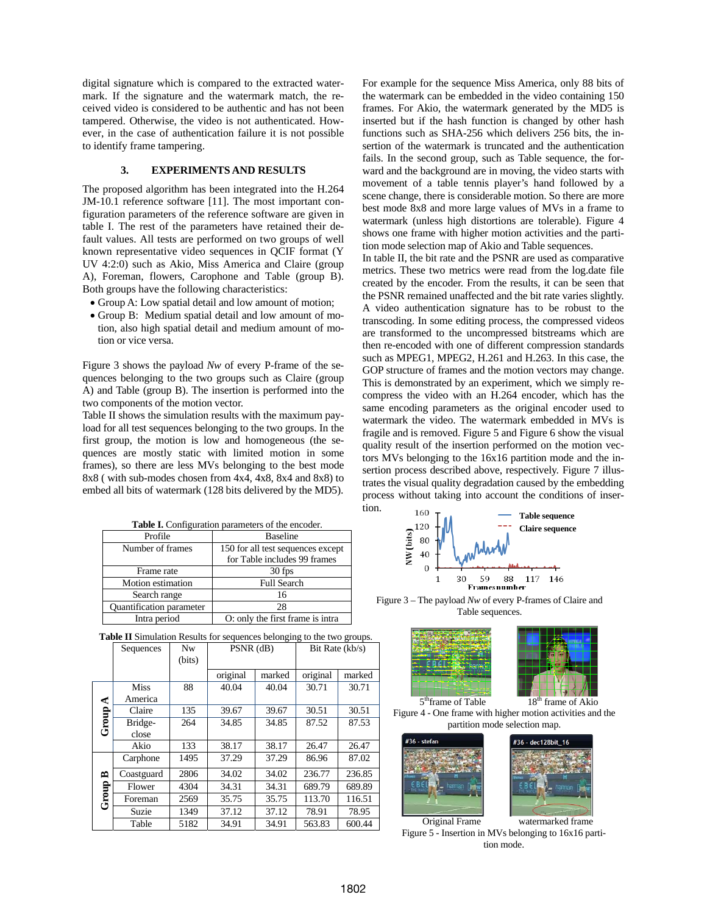digital signature which is compared to the extracted watermark. If the signature and the watermark match, the received video is considered to be authentic and has not been tampered. Otherwise, the video is not authenticated. However, in the case of authentication failure it is not possible to identify frame tampering.

# **3. EXPERIMENTS AND RESULTS**

The proposed algorithm has been integrated into the H.264 JM-10.1 reference software [11]. The most important configuration parameters of the reference software are given in table I. The rest of the parameters have retained their default values. All tests are performed on two groups of well known representative video sequences in QCIF format (Y UV 4:2:0) such as Akio, Miss America and Claire (group A), Foreman, flowers, Carophone and Table (group B). Both groups have the following characteristics:

- Group A: Low spatial detail and low amount of motion;
- Group B: Medium spatial detail and low amount of motion, also high spatial detail and medium amount of motion or vice versa.

Figure 3 shows the payload *Nw* of every P-frame of the sequences belonging to the two groups such as Claire (group A) and Table (group B). The insertion is performed into the two components of the motion vector.

Table II shows the simulation results with the maximum payload for all test sequences belonging to the two groups. In the first group, the motion is low and homogeneous (the sequences are mostly static with limited motion in some frames), so there are less MVs belonging to the best mode 8x8 ( with sub-modes chosen from 4x4, 4x8, 8x4 and 8x8) to embed all bits of watermark (128 bits delivered by the MD5).

| Table I. Configuration parameters of the encoder. |                                   |  |  |  |  |
|---------------------------------------------------|-----------------------------------|--|--|--|--|
| Profile                                           | <b>Baseline</b>                   |  |  |  |  |
| Number of frames                                  | 150 for all test sequences except |  |  |  |  |
|                                                   | for Table includes 99 frames      |  |  |  |  |
| Frame rate                                        | 30 fps                            |  |  |  |  |
| Motion estimation                                 | <b>Full Search</b>                |  |  |  |  |
| Search range                                      | 16                                |  |  |  |  |
| Quantification parameter                          | 28                                |  |  |  |  |
| Intra period                                      | O: only the first frame is intra  |  |  |  |  |

For example for the sequence Miss America, only 88 bits of the watermark can be embedded in the video containing 150 frames. For Akio, the watermark generated by the MD5 is inserted but if the hash function is changed by other hash functions such as SHA-256 which delivers 256 bits, the insertion of the watermark is truncated and the authentication fails. In the second group, such as Table sequence, the forward and the background are in moving, the video starts with movement of a table tennis player's hand followed by a scene change, there is considerable motion. So there are more best mode 8x8 and more large values of MVs in a frame to watermark (unless high distortions are tolerable). Figure 4 shows one frame with higher motion activities and the partition mode selection map of Akio and Table sequences.

In table II, the bit rate and the PSNR are used as comparative metrics. These two metrics were read from the log.date file created by the encoder. From the results, it can be seen that the PSNR remained unaffected and the bit rate varies slightly. A video authentication signature has to be robust to the transcoding. In some editing process, the compressed videos are transformed to the uncompressed bitstreams which are then re-encoded with one of different compression standards such as MPEG1, MPEG2, H.261 and H.263. In this case, the GOP structure of frames and the motion vectors may change. This is demonstrated by an experiment, which we simply recompress the video with an H.264 encoder, which has the same encoding parameters as the original encoder used to watermark the video. The watermark embedded in MVs is fragile and is removed. Figure 5 and Figure 6 show the visual quality result of the insertion performed on the motion vectors MVs belonging to the 16x16 partition mode and the insertion process described above, respectively. Figure 7 illustrates the visual quality degradation caused by the embedding process without taking into account the conditions of insertion.



Figure 3 – The payload *Nw* of every P-frames of Claire and Table sequences.



Figure 4 - One frame with higher motion activities and the partition mode selection map.



Figure 5 - Insertion in MVs belonging to 16x16 partition mode.

| <b>Table II</b> Simulation Results for sequences belonging to the two groups. |           |        |             |                 |  |  |  |  |
|-------------------------------------------------------------------------------|-----------|--------|-------------|-----------------|--|--|--|--|
|                                                                               | Sequences | Nw     | $PSNR$ (dB) | Bit Rate (kb/s) |  |  |  |  |
|                                                                               |           | (bits) |             |                 |  |  |  |  |

|                |             |      | original | marked | original | marked |
|----------------|-------------|------|----------|--------|----------|--------|
|                | <b>Miss</b> | 88   | 40.04    | 40.04  | 30.71    | 30.71  |
| ⋖<br>Group     | America     |      |          |        |          |        |
|                | Claire      | 135  | 39.67    | 39.67  | 30.51    | 30.51  |
|                | Bridge-     | 264  | 34.85    | 34.85  | 87.52    | 87.53  |
|                | close       |      |          |        |          |        |
|                | Akio        | 133  | 38.17    | 38.17  | 26.47    | 26.47  |
| ≏<br>roup<br>ڻ | Carphone    | 1495 | 37.29    | 37.29  | 86.96    | 87.02  |
|                | Coastguard  | 2806 | 34.02    | 34.02  | 236.77   | 236.85 |
|                | Flower      | 4304 | 34.31    | 34.31  | 689.79   | 689.89 |
|                | Foreman     | 2569 | 35.75    | 35.75  | 113.70   | 116.51 |
|                | Suzie       | 1349 | 37.12    | 37.12  | 78.91    | 78.95  |
|                | Table       | 5182 | 34.91    | 34.91  | 563.83   | 600.44 |